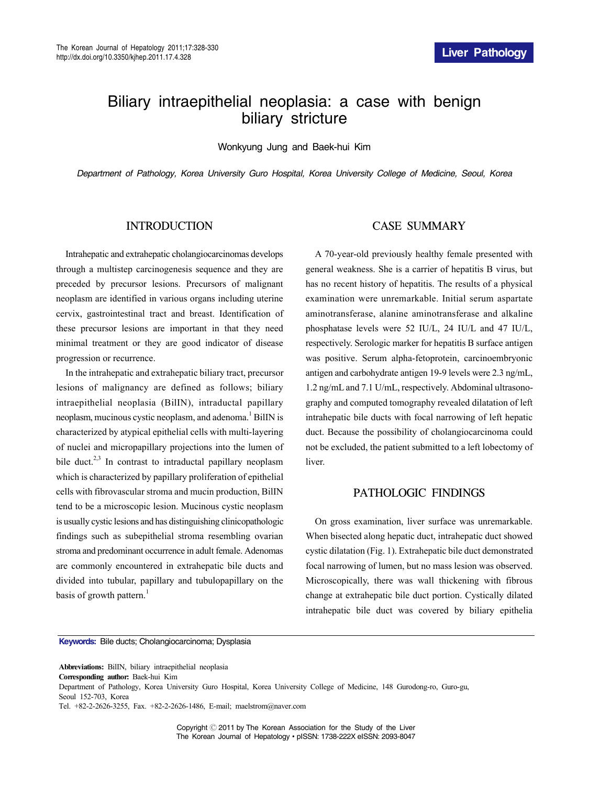# Biliary intraepithelial neoplasia: a case with benign biliary stricture

Wonkyung Jung and Baek-hui Kim

*Department of Pathology, Korea University Guro Hospital, Korea University College of Medicine, Seoul, Korea*

## INTRODUCTION

Intrahepatic and extrahepatic cholangiocarcinomas develops through a multistep carcinogenesis sequence and they are preceded by precursor lesions. Precursors of malignant neoplasm are identified in various organs including uterine cervix, gastrointestinal tract and breast. Identification of these precursor lesions are important in that they need minimal treatment or they are good indicator of disease progression or recurrence.

In the intrahepatic and extrahepatic biliary tract, precursor lesions of malignancy are defined as follows; biliary intraepithelial neoplasia (BilIN), intraductal papillary neoplasm, mucinous cystic neoplasm, and adenoma.<sup>1</sup> BilIN is characterized by atypical epithelial cells with multi-layering of nuclei and micropapillary projections into the lumen of bile duct.<sup>2,3</sup> In contrast to intraductal papillary neoplasm which is characterized by papillary proliferation of epithelial cells with fibrovascular stroma and mucin production, BilIN tend to be a microscopic lesion. Mucinous cystic neoplasm is usually cystic lesions and has distinguishing clinicopathologic findings such as subepithelial stroma resembling ovarian stroma and predominant occurrence in adult female. Adenomas are commonly encountered in extrahepatic bile ducts and divided into tubular, papillary and tubulopapillary on the basis of growth pattern.<sup>1</sup>

#### CASE SUMMARY

A 70-year-old previously healthy female presented with general weakness. She is a carrier of hepatitis B virus, but has no recent history of hepatitis. The results of a physical examination were unremarkable. Initial serum aspartate aminotransferase, alanine aminotransferase and alkaline phosphatase levels were 52 IU/L, 24 IU/L and 47 IU/L, respectively. Serologic marker for hepatitis B surface antigen was positive. Serum alpha-fetoprotein, carcinoembryonic antigen and carbohydrate antigen 19-9 levels were 2.3 ng/mL, 1.2 ng/mL and 7.1 U/mL, respectively. Abdominal ultrasonography and computed tomography revealed dilatation of left intrahepatic bile ducts with focal narrowing of left hepatic duct. Because the possibility of cholangiocarcinoma could not be excluded, the patient submitted to a left lobectomy of **liver** 

#### PATHOLOGIC FINDINGS

On gross examination, liver surface was unremarkable. When bisected along hepatic duct, intrahepatic duct showed cystic dilatation (Fig. 1). Extrahepatic bile duct demonstrated focal narrowing of lumen, but no mass lesion was observed. Microscopically, there was wall thickening with fibrous change at extrahepatic bile duct portion. Cystically dilated intrahepatic bile duct was covered by biliary epithelia

**Keywords:** Bile ducts; Cholangiocarcinoma; Dysplasia

**Abbreviations:** BilIN, biliary intraepithelial neoplasia

**Corresponding author:** Baek-hui Kim

Department of Pathology, Korea University Guro Hospital, Korea University College of Medicine, 148 Gurodong-ro, Guro-gu, Seoul 152-703, Korea

Copyright Ⓒ 2011 by The Korean Association for the Study of the Liver The Korean Journal of Hepatology∙pISSN: 1738-222X eISSN: 2093-8047

Tel. +82-2-2626-3255, Fax. +82-2-2626-1486, E-mail; maelstrom@naver.com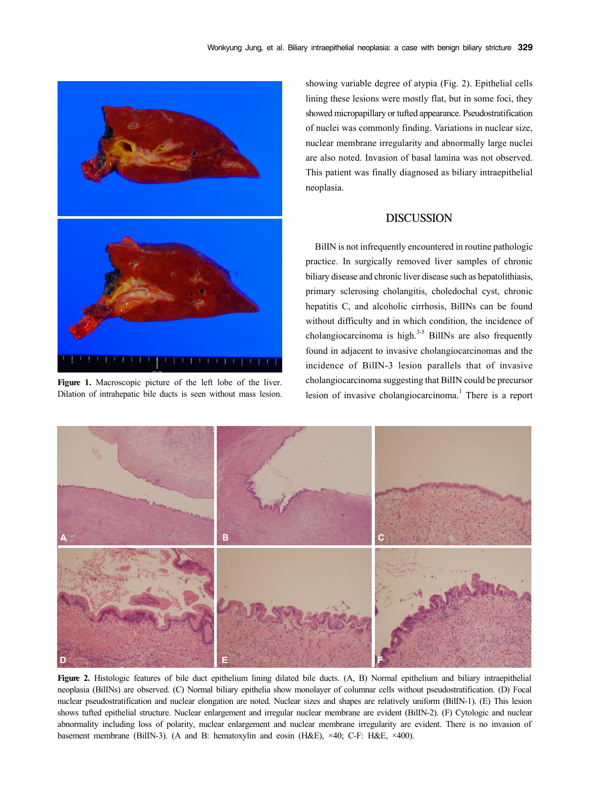

**Figure 1.** Macroscopic picture of the left lobe of the liver. Dilation of intrahepatic bile ducts is seen without mass lesion.

showing variable degree of atypia (Fig. 2). Epithelial cells lining these lesions were mostly flat, but in some foci, they showed micropapillary or tufted appearance. Pseudostratification of nuclei was commonly finding. Variations in nuclear size, nuclear membrane irregularity and abnormally large nuclei are also noted. Invasion of basal lamina was not observed. This patient was finally diagnosed as biliary intraepithelial neoplasia.

# DISCUSSION

BilIN is not infrequently encountered in routine pathologic practice. In surgically removed liver samples of chronic biliary disease and chronic liver disease such as hepatolithiasis, primary sclerosing cholangitis, choledochal cyst, chronic hepatitis C, and alcoholic cirrhosis, BilINs can be found without difficulty and in which condition, the incidence of cholangiocarcinoma is high. $3-5$  BilINs are also frequently found in adjacent to invasive cholangiocarcinomas and the incidence of BilIN-3 lesion parallels that of invasive cholangiocarcinoma suggesting that BilIN could be precursor lesion of invasive cholangiocarcinoma.<sup>1</sup> There is a report



**Figure 2.** Histologic features of bile duct epithelium lining dilated bile ducts. (A, B) Normal epithelium and biliary intraepithelial neoplasia (BilINs) are observed. (C) Normal biliary epithelia show monolayer of columnar cells without pseudostratification. (D) Focal nuclear pseudostratification and nuclear elongation are noted. Nuclear sizes and shapes are relatively uniform (BilIN-1). (E) This lesion shows tufted epithelial structure. Nuclear enlargement and irregular nuclear membrane are evident (BilIN-2). (F) Cytologic and nuclear abnormality including loss of polarity, nuclear enlargement and nuclear membrane irregularity are evident. There is no invasion of basement membrane (BilIN-3). (A and B: hematoxylin and eosin (H&E), ×40; C-F: H&E, ×400).